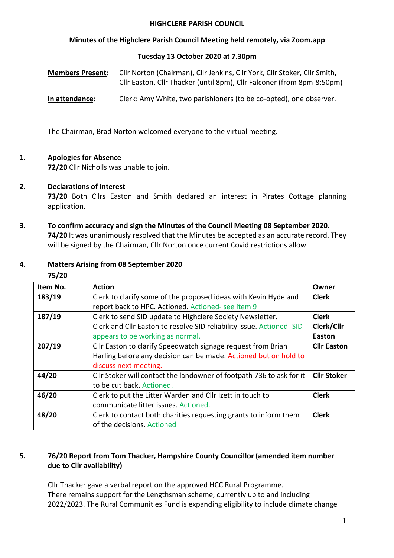#### **HIGHCLERE PARISH COUNCIL**

## **Minutes of the Highclere Parish Council Meeting held remotely, via Zoom.app**

#### **Tuesday 13 October 2020 at 7.30pm**

| <b>Members Present:</b> | Cllr Norton (Chairman), Cllr Jenkins, Cllr York, Cllr Stoker, Cllr Smith, |
|-------------------------|---------------------------------------------------------------------------|
|                         | Cllr Easton, Cllr Thacker (until 8pm), Cllr Falconer (from 8pm-8:50pm)    |

**In attendance**: Clerk: Amy White, two parishioners (to be co-opted), one observer.

The Chairman, Brad Norton welcomed everyone to the virtual meeting.

#### **1. Apologies for Absence**

**72/20** Cllr Nicholls was unable to join.

## **2. Declarations of Interest**

**73/20** Both Cllrs Easton and Smith declared an interest in Pirates Cottage planning application.

**3. To confirm accuracy and sign the Minutes of the Council Meeting 08 September 2020. 74/20** It was unanimously resolved that the Minutes be accepted as an accurate record. They will be signed by the Chairman, Cllr Norton once current Covid restrictions allow.

#### **4. Matters Arising from 08 September 2020**

| 75/20    |                                                                                                                                                                       |                                      |  |
|----------|-----------------------------------------------------------------------------------------------------------------------------------------------------------------------|--------------------------------------|--|
| Item No. | <b>Action</b>                                                                                                                                                         | Owner                                |  |
| 183/19   | Clerk to clarify some of the proposed ideas with Kevin Hyde and<br>report back to HPC. Actioned. Actioned- see item 9                                                 | <b>Clerk</b>                         |  |
| 187/19   | Clerk to send SID update to Highclere Society Newsletter.<br>Clerk and Cllr Easton to resolve SID reliability issue. Actioned-SID<br>appears to be working as normal. | <b>Clerk</b><br>Clerk/Cllr<br>Easton |  |
| 207/19   | Cllr Easton to clarify Speedwatch signage request from Brian<br>Harling before any decision can be made. Actioned but on hold to<br>discuss next meeting.             | <b>Cllr Easton</b>                   |  |
| 44/20    | Cllr Stoker will contact the landowner of footpath 736 to ask for it<br>to be cut back. Actioned.                                                                     | <b>Cllr Stoker</b>                   |  |
| 46/20    | Clerk to put the Litter Warden and Cllr Izett in touch to<br>communicate litter issues. Actioned.                                                                     | <b>Clerk</b>                         |  |
| 48/20    | Clerk to contact both charities requesting grants to inform them<br>of the decisions. Actioned                                                                        | <b>Clerk</b>                         |  |

## **5. 76/20 Report from Tom Thacker, Hampshire County Councillor (amended item number due to Cllr availability)**

Cllr Thacker gave a verbal report on the approved HCC Rural Programme. There remains support for the Lengthsman scheme, currently up to and including 2022/2023. The Rural Communities Fund is expanding eligibility to include climate change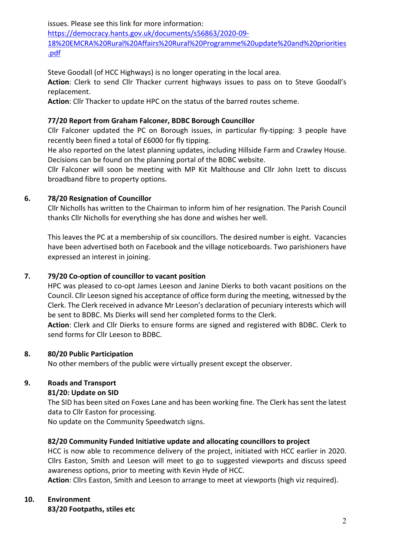issues. Please see this link for more information: https://democracy.hants.gov.uk/documents/s56863/2020-09- 18%20EMCRA%20Rural%20Affairs%20Rural%20Programme%20update%20and%20priorities .pdf

Steve Goodall (of HCC Highways) is no longer operating in the local area.

**Action**: Clerk to send Cllr Thacker current highways issues to pass on to Steve Goodall's replacement.

**Action**: Cllr Thacker to update HPC on the status of the barred routes scheme.

## **77/20 Report from Graham Falconer, BDBC Borough Councillor**

Cllr Falconer updated the PC on Borough issues, in particular fly-tipping: 3 people have recently been fined a total of £6000 for fly tipping.

He also reported on the latest planning updates, including Hillside Farm and Crawley House. Decisions can be found on the planning portal of the BDBC website.

Cllr Falconer will soon be meeting with MP Kit Malthouse and Cllr John Izett to discuss broadband fibre to property options.

## **6. 78/20 Resignation of Councillor**

Cllr Nicholls has written to the Chairman to inform him of her resignation. The Parish Council thanks Cllr Nicholls for everything she has done and wishes her well.

This leaves the PC at a membership of six councillors. The desired number is eight. Vacancies have been advertised both on Facebook and the village noticeboards. Two parishioners have expressed an interest in joining.

## **7. 79/20 Co-option of councillor to vacant position**

HPC was pleased to co-opt James Leeson and Janine Dierks to both vacant positions on the Council. Cllr Leeson signed his acceptance of office form during the meeting, witnessed by the Clerk. The Clerk received in advance Mr Leeson's declaration of pecuniary interests which will be sent to BDBC. Ms Dierks will send her completed forms to the Clerk.

**Action**: Clerk and Cllr Dierks to ensure forms are signed and registered with BDBC. Clerk to send forms for Cllr Leeson to BDBC.

## **8. 80/20 Public Participation**

No other members of the public were virtually present except the observer.

# **9. Roads and Transport**

## **81/20: Update on SID**

The SID has been sited on Foxes Lane and has been working fine. The Clerk has sent the latest data to Cllr Easton for processing.

No update on the Community Speedwatch signs.

## **82/20 Community Funded Initiative update and allocating councillors to project**

HCC is now able to recommence delivery of the project, initiated with HCC earlier in 2020. Cllrs Easton, Smith and Leeson will meet to go to suggested viewports and discuss speed awareness options, prior to meeting with Kevin Hyde of HCC.

**Action**: Cllrs Easton, Smith and Leeson to arrange to meet at viewports (high viz required).

## **10. Environment**

**83/20 Footpaths, stiles etc**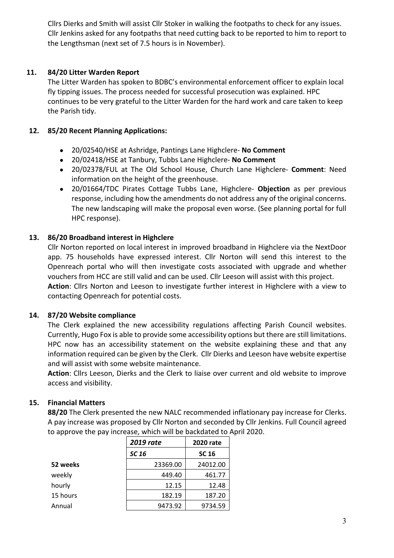Cllrs Dierks and Smith will assist Cllr Stoker in walking the footpaths to check for any issues. Cllr Jenkins asked for any footpaths that need cutting back to be reported to him to report to the Lengthsman (next set of 7.5 hours is in November).

## **11. 84/20 Litter Warden Report**

The Litter Warden has spoken to BDBC's environmental enforcement officer to explain local fly tipping issues. The process needed for successful prosecution was explained. HPC continues to be very grateful to the Litter Warden for the hard work and care taken to keep the Parish tidy.

## **12. 85/20 Recent Planning Applications:**

- 20/02540/HSE at Ashridge, Pantings Lane Highclere- **No Comment**
- 20/02418/HSE at Tanbury, Tubbs Lane Highclere- **No Comment**
- 20/02378/FUL at The Old School House, Church Lane Highclere- **Comment**: Need information on the height of the greenhouse.
- 20/01664/TDC Pirates Cottage Tubbs Lane, Highclere- **Objection** as per previous response, including how the amendments do not address any of the original concerns. The new landscaping will make the proposal even worse. (See planning portal for full HPC response).

# **13. 86/20 Broadband interest in Highclere**

Cllr Norton reported on local interest in improved broadband in Highclere via the NextDoor app. 75 households have expressed interest. Cllr Norton will send this interest to the Openreach portal who will then investigate costs associated with upgrade and whether vouchers from HCC are still valid and can be used. Cllr Leeson will assist with this project. **Action**: Cllrs Norton and Leeson to investigate further interest in Highclere with a view to contacting Openreach for potential costs.

## **14. 87/20 Website compliance**

The Clerk explained the new accessibility regulations affecting Parish Council websites. Currently, Hugo Fox is able to provide some accessibility options but there are still limitations. HPC now has an accessibility statement on the website explaining these and that any information required can be given by the Clerk. Cllr Dierks and Leeson have website expertise and will assist with some website maintenance.

**Action**: Cllrs Leeson, Dierks and the Clerk to liaise over current and old website to improve access and visibility.

# **15. Financial Matters**

**88/20** The Clerk presented the new NALC recommended inflationary pay increase for Clerks. A pay increase was proposed by Cllr Norton and seconded by Cllr Jenkins. Full Council agreed to approve the pay increase, which will be backdated to April 2020.

|          | <b>2019 rate</b> | <b>2020 rate</b> |
|----------|------------------|------------------|
|          | SC 16            | <b>SC 16</b>     |
| 52 weeks | 23369.00         | 24012.00         |
| weekly   | 449.40           | 461.77           |
| hourly   | 12.15            | 12.48            |
| 15 hours | 182.19           | 187.20           |
| Annual   | 9473.92          | 9734.59          |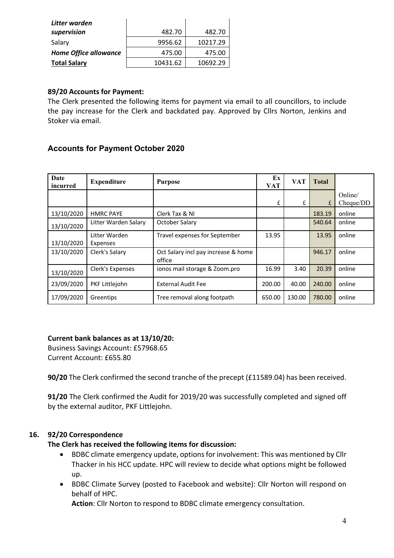| Litter warden                |          |          |
|------------------------------|----------|----------|
| supervision                  | 482.70   | 482.70   |
| Salary                       | 9956.62  | 10217.29 |
| <b>Home Office allowance</b> | 475.00   | 475.00   |
| <b>Total Salary</b>          | 10431.62 | 10692.29 |

## **89/20 Accounts for Payment:**

The Clerk presented the following items for payment via email to all councillors, to include the pay increase for the Clerk and backdated pay. Approved by Cllrs Norton, Jenkins and Stoker via email.

# **Accounts for Payment October 2020**

| Date<br>incurred | <b>Expenditure</b>        | <b>Purpose</b>                                | Ex<br><b>VAT</b> | <b>VAT</b> | <b>Total</b> |                      |
|------------------|---------------------------|-----------------------------------------------|------------------|------------|--------------|----------------------|
|                  |                           |                                               | £                | £          | £            | Online/<br>Cheque/DD |
| 13/10/2020       | <b>HMRC PAYE</b>          | Clerk Tax & NI                                |                  |            | 183.19       | online               |
| 13/10/2020       | Litter Warden Salary      | October Salary                                |                  |            | 540.64       | online               |
| 13/10/2020       | Litter Warden<br>Expenses | Travel expenses for September                 | 13.95            |            | 13.95        | online               |
| 13/10/2020       | Clerk's Salary            | Oct Salary incl pay increase & home<br>office |                  |            | 946.17       | online               |
| 13/10/2020       | Clerk's Expenses          | ionos mail storage & Zoom.pro                 | 16.99            | 3.40       | 20.39        | online               |
| 23/09/2020       | PKF Littlejohn            | <b>External Audit Fee</b>                     | 200.00           | 40.00      | 240.00       | online               |
| 17/09/2020       | Greentips                 | Tree removal along footpath                   | 650.00           | 130.00     | 780.00       | online               |

## **Current bank balances as at 13/10/20:**

Business Savings Account: £57968.65 Current Account: £655.80

**90/20** The Clerk confirmed the second tranche of the precept (£11589.04) has been received.

**91/20** The Clerk confirmed the Audit for 2019/20 was successfully completed and signed off by the external auditor, PKF Littlejohn.

## **16. 92/20 Correspondence**

## **The Clerk has received the following items for discussion:**

- BDBC climate emergency update, options for involvement: This was mentioned by Cllr Thacker in his HCC update. HPC will review to decide what options might be followed up.
- BDBC Climate Survey (posted to Facebook and website): Cllr Norton will respond on behalf of HPC.

**Action**: Cllr Norton to respond to BDBC climate emergency consultation.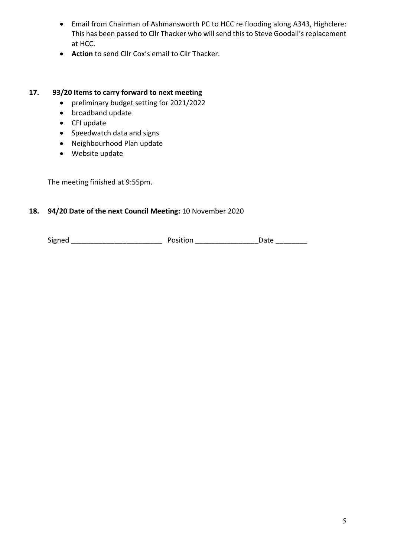- Email from Chairman of Ashmansworth PC to HCC re flooding along A343, Highclere: This has been passed to Cllr Thacker who will send this to Steve Goodall's replacement at HCC.
- **Action** to send Cllr Cox's email to Cllr Thacker.

## **17. 93/20 Items to carry forward to next meeting**

- preliminary budget setting for 2021/2022
- broadband update
- CFI update
- Speedwatch data and signs
- Neighbourhood Plan update
- Website update

The meeting finished at 9:55pm.

## **18. 94/20 Date of the next Council Meeting:** 10 November 2020

Signed \_\_\_\_\_\_\_\_\_\_\_\_\_\_\_\_\_\_\_\_\_\_\_ Position \_\_\_\_\_\_\_\_\_\_\_\_\_\_\_\_Date \_\_\_\_\_\_\_\_